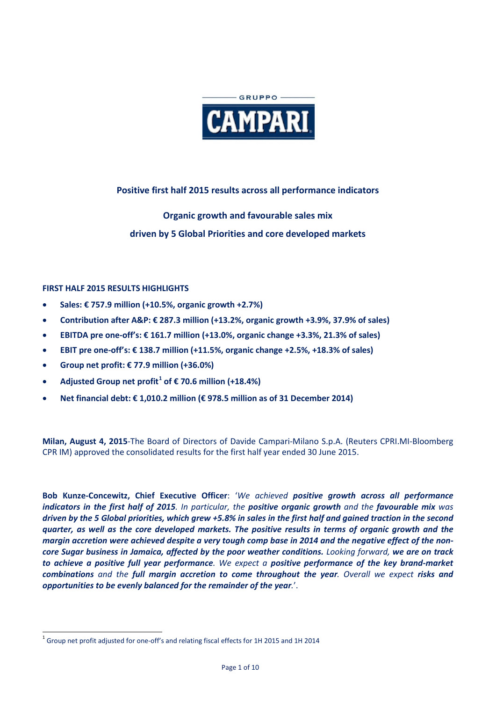

# **Positive first half 2015 results across all performance indicators**

# **Organic growth and favourable sales mix driven by 5 Global Priorities and core developed markets**

### **FIRST HALF 2015 RESULTS HIGHLIGHTS**

- **Sales: € 757.9 million (+10.5%, organic growth +2.7%)**
- **Contribution after A&P: € 287.3 million (+13.2%, organic growth +3.9%, 37.9% of sales)**
- **EBITDA pre one-off's: € 161.7 million (+13.0%, organic change +3.3%, 21.3% of sales)**
- **EBIT pre one-off's: € 138.7 million (+11.5%, organic change +2.5%, +18.3% of sales)**
- **Group net profit: € 77.9 million (+36.0%)**
- **Adjusted Group net profit[1](#page-0-0) of € 70.6 million (+18.4%)**
- **Net financial debt: € 1,010.2 million (€ 978.5 million as of 31 December 2014)**

**Milan, August 4, 2015**-The Board of Directors of Davide Campari-Milano S.p.A. (Reuters CPRI.MI-Bloomberg CPR IM) approved the consolidated results for the first half year ended 30 June 2015.

**Bob Kunze-Concewitz, Chief Executive Officer**: '*We achieved positive growth across all performance indicators in the first half of 2015. In particular, the positive organic growth and the favourable mix was driven by the 5 Global priorities, which grew +5.8% in sales in the first half and gained traction in the second quarter, as well as the core developed markets. The positive results in terms of organic growth and the margin accretion were achieved despite a very tough comp base in 2014 and the negative effect of the noncore Sugar business in Jamaica, affected by the poor weather conditions. Looking forward, we are on track to achieve a positive full year performance. We expect a positive performance of the key brand-market combinations and the full margin accretion to come throughout the year. Overall we expect risks and opportunities to be evenly balanced for the remainder of the year.*'.

<span id="page-0-0"></span> $^1$  Group net profit adjusted for one-off's and relating fiscal effects for 1H 2015 and 1H 2014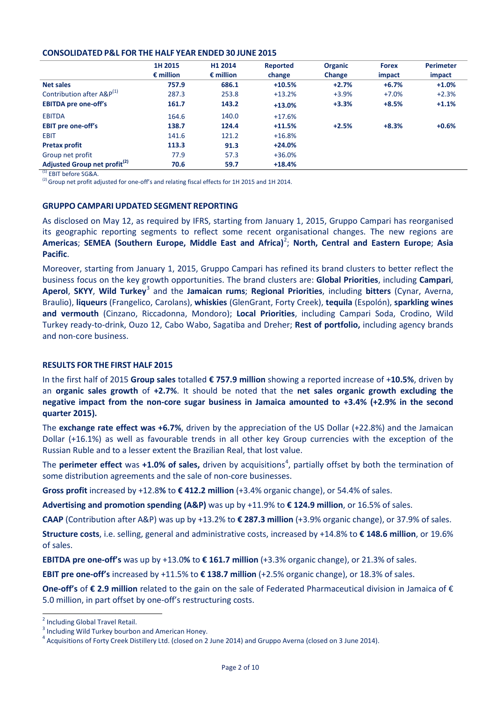#### **CONSOLIDATED P&L FOR THE HALF YEAR ENDED 30 JUNE 2015**

|                                          | 1H 2015<br>$\epsilon$ million | H1 2014<br>$\epsilon$ million | Reported<br>change | <b>Organic</b><br>Change | <b>Forex</b><br>impact | <b>Perimeter</b><br>impact |
|------------------------------------------|-------------------------------|-------------------------------|--------------------|--------------------------|------------------------|----------------------------|
|                                          |                               |                               |                    |                          |                        |                            |
| <b>Net sales</b>                         | 757.9                         | 686.1                         | $+10.5%$           | $+2.7%$                  | $+6.7%$                | $+1.0%$                    |
| Contribution after A&P <sup>(1)</sup>    | 287.3                         | 253.8                         | $+13.2%$           | $+3.9%$                  | $+7.0%$                | $+2.3%$                    |
| <b>EBITDA pre one-off's</b>              | 161.7                         | 143.2                         | $+13.0%$           | $+3.3%$                  | $+8.5%$                | $+1.1%$                    |
| <b>EBITDA</b>                            | 164.6                         | 140.0                         | $+17.6%$           |                          |                        |                            |
| <b>EBIT</b> pre one-off's                | 138.7                         | 124.4                         | $+11.5%$           | $+2.5%$                  | $+8.3%$                | $+0.6%$                    |
| <b>EBIT</b>                              | 141.6                         | 121.2                         | $+16.8%$           |                          |                        |                            |
| <b>Pretax profit</b>                     | 113.3                         | 91.3                          | $+24.0%$           |                          |                        |                            |
| Group net profit                         | 77.9                          | 57.3                          | $+36.0%$           |                          |                        |                            |
| Adjusted Group net profit <sup>(2)</sup> | 70.6                          | 59.7                          | $+18.4%$           |                          |                        |                            |

(1) EBIT before SG&A.

 $^{(2)}$  Group net profit adjusted for one-off's and relating fiscal effects for 1H 2015 and 1H 2014.

#### **GRUPPO CAMPARI UPDATED SEGMENT REPORTING**

As disclosed on May 12, as required by IFRS, starting from January 1, 2015, Gruppo Campari has reorganised its geographic reporting segments to reflect some recent organisational changes. The new regions are Americas; SEMEA (Southern Europe, Middle East and Africa)<sup>[2](#page-1-0)</sup>; North, Central and Eastern Europe; Asia **Pacific**.

Moreover, starting from January 1, 2015, Gruppo Campari has refined its brand clusters to better reflect the business focus on the key growth opportunities. The brand clusters are: **Global Priorities**, including **Campari**, **Aperol**, **SKYY**, **Wild Turkey**[3](#page-1-1) and the **Jamaican rums**; **Regional Priorities**, including **bitters** (Cynar, Averna, Braulio), **liqueurs** (Frangelico, Carolans), **whiskies** (GlenGrant, Forty Creek), **tequila** (Espolón), **sparkling wines and vermouth** (Cinzano, Riccadonna, Mondoro); **Local Priorities**, including Campari Soda, Crodino, Wild Turkey ready-to-drink, Ouzo 12, Cabo Wabo, Sagatiba and Dreher; **Rest of portfolio,** including agency brands and non-core business.

#### **RESULTS FOR THE FIRST HALF 2015**

In the first half of 2015 **Group sales** totalled **€ 757.9 million** showing a reported increase of +**10.5%**, driven by an **organic sales growth** of **+2.7%**. It should be noted that the **net sales organic growth excluding the negative impact from the non-core sugar business in Jamaica amounted to +3.4% (+2.9% in the second quarter 2015).**

The **exchange rate effect was +6.7%**, driven by the appreciation of the US Dollar (+22.8%) and the Jamaican Dollar (+16.1%) as well as favourable trends in all other key Group currencies with the exception of the Russian Ruble and to a lesser extent the Brazilian Real, that lost value.

The **perimeter effect** was +1.0% of sales, driven by acquisitions<sup>[4](#page-1-2)</sup>, partially offset by both the termination of some distribution agreements and the sale of non-core businesses.

**Gross profit** increased by +12.8**%** to **€ 412.2 million** (+3.4% organic change), or 54.4% of sales.

**Advertising and promotion spending (A&P)** was up by +11.9% to **€ 124.9 million**, or 16.5% of sales.

**CAAP** (Contribution after A&P) was up by +13.2% to **€ 287.3 million** (+3.9% organic change), or 37.9% of sales.

**Structure costs**, i.e. selling, general and administrative costs, increased by +14.8% to **€ 148.6 million**, or 19.6% of sales.

**EBITDA pre one-off's** was up by  $+13.0\%$  to  $\epsilon$  161.7 million ( $+3.3\%$  organic change), or 21.3% of sales.

**EBIT pre one-off's** increased by +11.5% to **€ 138.7 million** (+2.5% organic change), or 18.3% of sales.

**One-off's** of **€ 2.9 million** related to the gain on the sale of Federated Pharmaceutical division in Jamaica of € 5.0 million, in part offset by one-off's restructuring costs.

<span id="page-1-0"></span><sup>2</sup> Including Global Travel Retail.

<span id="page-1-1"></span><sup>&</sup>lt;sup>3</sup> Including Wild Turkey bourbon and American Honey.

<span id="page-1-2"></span> $^4$  Acquisitions of Forty Creek Distillery Ltd. (closed on 2 June 2014) and Gruppo Averna (closed on 3 June 2014).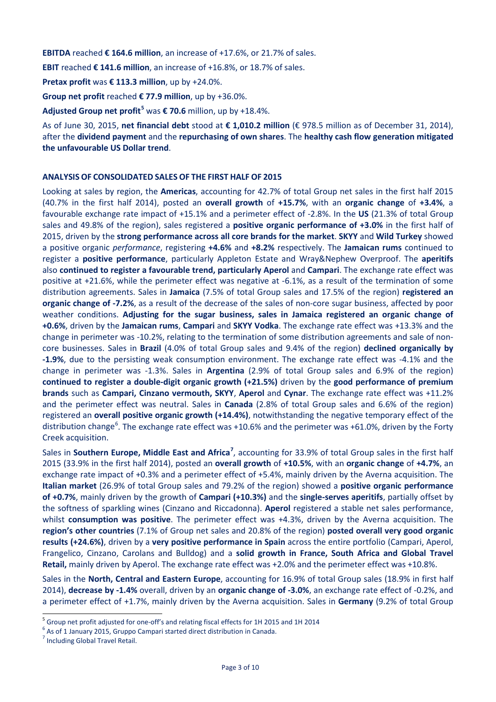**EBITDA** reached **€ 164.6 million**, an increase of +17.6%, or 21.7% of sales.

**EBIT** reached **€ 141.6 million**, an increase of +16.8%, or 18.7% of sales.

**Pretax profit** was **€ 113.3 million**, up by +24.0%.

**Group net profit** reached **€ 77.9 million**, up by +36.0%.

**Adjusted Group net profit[5](#page-2-0)** was **€ 70.6** million, up by +18.4%.

As of June 30, 2015, **net financial debt** stood at **€ 1,010.2 million** (€ 978.5 million as of December 31, 2014), after the **dividend payment** and the **repurchasing of own shares**. The **healthy cash flow generation mitigated the unfavourable US Dollar trend**.

#### **ANALYSIS OF CONSOLIDATED SALES OF THE FIRST HALF OF 2015**

Looking at sales by region, the **Americas**, accounting for 42.7% of total Group net sales in the first half 2015 (40.7% in the first half 2014), posted an **overall growth** of **+15.7%**, with an **organic change** of **+3.4%**, a favourable exchange rate impact of +15.1% and a perimeter effect of -2.8%. In the **US** (21.3% of total Group sales and 49.8% of the region), sales registered a **positive organic performance of +3.0%** in the first half of 2015, driven by the **strong performance across all core brands for the market**. **SKYY** and **Wild Turkey** showed a positive organic *performance*, registering **+4.6%** and **+8.2%** respectively. The **Jamaican rums** continued to register a **positive performance**, particularly Appleton Estate and Wray&Nephew Overproof. The **aperitifs** also **continued to register a favourable trend, particularly Aperol** and **Campari**. The exchange rate effect was positive at +21.6%, while the perimeter effect was negative at -6.1%, as a result of the termination of some distribution agreements. Sales in **Jamaica** (7.5% of total Group sales and 17.5% of the region) **registered an organic change of -7.2%**, as a result of the decrease of the sales of non-core sugar business, affected by poor weather conditions. **Adjusting for the sugar business, sales in Jamaica registered an organic change of +0.6%**, driven by the **Jamaican rums**, **Campari** and **SKYY Vodka**. The exchange rate effect was +13.3% and the change in perimeter was -10.2%, relating to the termination of some distribution agreements and sale of noncore businesses. Sales in **Brazil** (4.0% of total Group sales and 9.4% of the region) **declined organically by -1.9%**, due to the persisting weak consumption environment. The exchange rate effect was -4.1% and the change in perimeter was -1.3%. Sales in **Argentina** (2.9% of total Group sales and 6.9% of the region) **continued to register a double-digit organic growth (+21.5%)** driven by the **good performance of premium brands** such as **Campari, Cinzano vermouth, SKYY**, **Aperol** and **Cynar**. The exchange rate effect was +11.2% and the perimeter effect was neutral. Sales in **Canada** (2.8% of total Group sales and 6.6% of the region) registered an **overall positive organic growth (+14.4%)**, notwithstanding the negative temporary effect of the distribution change<sup>[6](#page-2-1)</sup>. The exchange rate effect was +10.6% and the perimeter was +61.0%, driven by the Forty Creek acquisition.

Sales in Southern Europe, Middle East and Africa<sup>[7](#page-2-2)</sup>, accounting for 33.9% of total Group sales in the first half 2015 (33.9% in the first half 2014), posted an **overall growth** of **+10.5%**, with an **organic change** of **+4.7%**, an exchange rate impact of +0.3% and a perimeter effect of +5.4%, mainly driven by the Averna acquisition. The **Italian market** (26.9% of total Group sales and 79.2% of the region) showed a **positive organic performance of +0.7%**, mainly driven by the growth of **Campari (+10.3%)** and the **single-serves aperitifs**, partially offset by the softness of sparkling wines (Cinzano and Riccadonna). **Aperol** registered a stable net sales performance, whilst **consumption was positive**. The perimeter effect was +4.3%, driven by the Averna acquisition. The **region's other countries** (7.1% of Group net sales and 20.8% of the region) **posted overall very good organic results (+24.6%)**, driven by a **very positive performance in Spain** across the entire portfolio (Campari, Aperol, Frangelico, Cinzano, Carolans and Bulldog) and a **solid growth in France, South Africa and Global Travel Retail,** mainly driven by Aperol. The exchange rate effect was +2.0% and the perimeter effect was +10.8%.

Sales in the **North, Central and Eastern Europe**, accounting for 16.9% of total Group sales (18.9% in first half 2014), **decrease by -1.4%** overall, driven by an **organic change of -3.0%**, an exchange rate effect of -0.2%, and a perimeter effect of +1.7%, mainly driven by the Averna acquisition. Sales in **Germany** (9.2% of total Group

<span id="page-2-0"></span><sup>&</sup>lt;sup>5</sup> Group net profit adjusted for one-off's and relating fiscal effects for 1H 2015 and 1H 2014 <sup>6</sup> As of 1 January 2015, Gruppo Campari started direct distribution in Canada. <sup>7</sup> Including Global Travel Retail.

<span id="page-2-1"></span>

<span id="page-2-2"></span>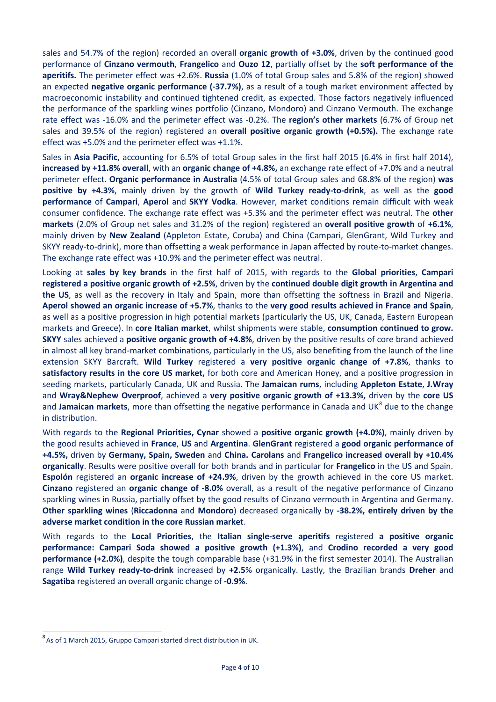sales and 54.7% of the region) recorded an overall **organic growth of +3.0%**, driven by the continued good performance of **Cinzano vermouth**, **Frangelico** and **Ouzo 12**, partially offset by the **soft performance of the aperitifs.** The perimeter effect was +2.6%. **Russia** (1.0% of total Group sales and 5.8% of the region) showed an expected **negative organic performance (-37.7%)**, as a result of a tough market environment affected by macroeconomic instability and continued tightened credit, as expected. Those factors negatively influenced the performance of the sparkling wines portfolio (Cinzano, Mondoro) and Cinzano Vermouth. The exchange rate effect was -16.0% and the perimeter effect was -0.2%. The **region's other markets** (6.7% of Group net sales and 39.5% of the region) registered an **overall positive organic growth (+0.5%).** The exchange rate effect was +5.0% and the perimeter effect was +1.1%.

Sales in **Asia Pacific**, accounting for 6.5% of total Group sales in the first half 2015 (6.4% in first half 2014), **increased by +11.8% overall**, with an **organic change of +4.8%,** an exchange rate effect of +7.0% and a neutral perimeter effect. **Organic performance in Australia** (4.5% of total Group sales and 68.8% of the region) **was positive by +4.3%**, mainly driven by the growth of **Wild Turkey ready-to-drink**, as well as the **good performance** of **Campari**, **Aperol** and **SKYY Vodka**. However, market conditions remain difficult with weak consumer confidence. The exchange rate effect was +5.3% and the perimeter effect was neutral. The **other markets** (2.0% of Group net sales and 31.2% of the region) registered an **overall positive growth** of **+6.1%**, mainly driven by **New Zealand** (Appleton Estate, Coruba) and China (Campari, GlenGrant, Wild Turkey and SKYY ready-to-drink), more than offsetting a weak performance in Japan affected by route-to-market changes. The exchange rate effect was +10.9% and the perimeter effect was neutral.

Looking at **sales by key brands** in the first half of 2015, with regards to the **Global priorities**, **Campari registered a positive organic growth of +2.5%**, driven by the **continued double digit growth in Argentina and the US**, as well as the recovery in Italy and Spain, more than offsetting the softness in Brazil and Nigeria. **Aperol showed an organic increase of +5.7%**, thanks to the **very good results achieved in France and Spain**, as well as a positive progression in high potential markets (particularly the US, UK, Canada, Eastern European markets and Greece). In **core Italian market**, whilst shipments were stable, **consumption continued to grow. SKYY** sales achieved a **positive organic growth of +4.8%**, driven by the positive results of core brand achieved in almost all key brand-market combinations, particularly in the US, also benefiting from the launch of the line extension SKYY Barcraft. **Wild Turkey** registered a **very positive organic change of +7.8%**, thanks to **satisfactory results in the core US market,** for both core and American Honey, and a positive progression in seeding markets, particularly Canada, UK and Russia. The **Jamaican rums**, including **Appleton Estate**, **J.Wray**  and **Wray&Nephew Overproof**, achieved a **very positive organic growth of +13.3%,** driven by the **core US**  and **Jamaican markets**, more than offsetting the negative performance in Canada and UK<sup>[8](#page-3-0)</sup> due to the change in distribution.

With regards to the **Regional Priorities, Cynar** showed a **positive organic growth (+4.0%)**, mainly driven by the good results achieved in **France**, **US** and **Argentina**. **GlenGrant** registered a **good organic performance of +4.5%,** driven by **Germany, Spain, Sweden** and **China. Carolans** and **Frangelico increased overall by +10.4% organically**. Results were positive overall for both brands and in particular for **Frangelico** in the US and Spain. **Espolón** registered an **organic increase of +24.9%**, driven by the growth achieved in the core US market. **Cinzano** registered an **organic change of -8.0%** overall, as a result of the negative performance of Cinzano sparkling wines in Russia, partially offset by the good results of Cinzano vermouth in Argentina and Germany. **Other sparkling wines** (**Riccadonna** and **Mondoro**) decreased organically by **-38.2%, entirely driven by the adverse market condition in the core Russian market**.

With regards to the **Local Priorities**, the **Italian single-serve aperitifs** registered **a positive organic performance: Campari Soda showed a positive growth (+1.3%)**, and **Crodino recorded a very good performance (+2.0%)**, despite the tough comparable base (+31.9% in the first semester 2014). The Australian range **Wild Turkey ready-to-drink** increased by **+2.5**% organically. Lastly, the Brazilian brands **Dreher** and **Sagatiba** registered an overall organic change of **-0.9%**.

<span id="page-3-0"></span>8 As of 1 March 2015, Gruppo Campari started direct distribution in UK.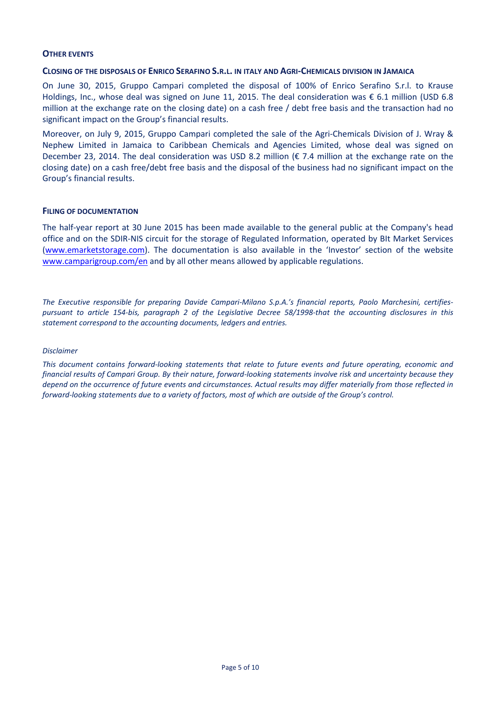#### **OTHER EVENTS**

#### **CLOSING OF THE DISPOSALS OF ENRICO SERAFINO S.R.L. IN ITALY AND AGRI-CHEMICALS DIVISION IN JAMAICA**

On June 30, 2015, Gruppo Campari completed the disposal of 100% of Enrico Serafino S.r.l. to Krause Holdings, Inc., whose deal was signed on June 11, 2015. The deal consideration was € 6.1 million (USD 6.8 million at the exchange rate on the closing date) on a cash free / debt free basis and the transaction had no significant impact on the Group's financial results.

Moreover, on July 9, 2015, Gruppo Campari completed the sale of the Agri-Chemicals Division of J. Wray & Nephew Limited in Jamaica to Caribbean Chemicals and Agencies Limited, whose deal was signed on December 23, 2014. The deal consideration was USD 8.2 million (€ 7.4 million at the exchange rate on the closing date) on a cash free/debt free basis and the disposal of the business had no significant impact on the Group's financial results.

#### **FILING OF DOCUMENTATION**

The half-year report at 30 June 2015 has been made available to the general public at the Company's head office and on the SDIR-NIS circuit for the storage of Regulated Information, operated by BIt Market Services [\(www.emarketstorage.com\)](http://www.emarketstorage.com/). The documentation is also available in the 'Investor' section of the website [www.camparigroup.com/en](http://www.camparigroup.com/en) and by all other means allowed by applicable regulations.

*The Executive responsible for preparing Davide Campari-Milano S.p.A.'s financial reports, Paolo Marchesini, certifiespursuant to article 154-bis, paragraph 2 of the Legislative Decree 58/1998-that the accounting disclosures in this statement correspond to the accounting documents, ledgers and entries.* 

#### *Disclaimer*

*This document contains forward-looking statements that relate to future events and future operating, economic and financial results of Campari Group. By their nature, forward-looking statements involve risk and uncertainty because they depend on the occurrence of future events and circumstances. Actual results may differ materially from those reflected in forward-looking statements due to a variety of factors, most of which are outside of the Group's control.*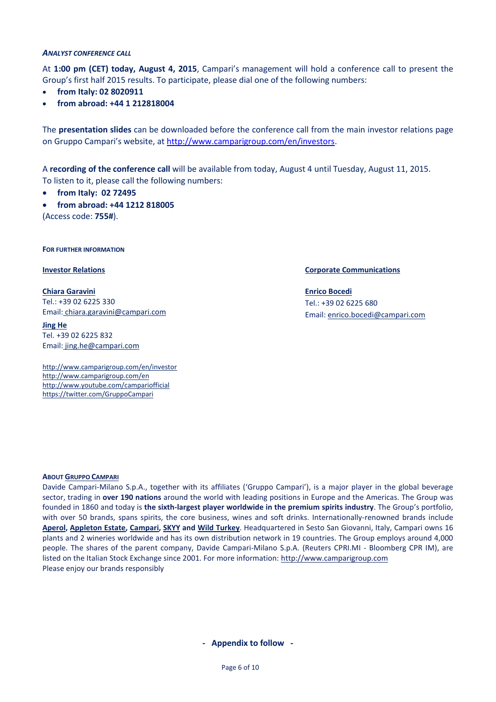#### *ANALYST CONFERENCE CALL*

At **1:00 pm (CET) today, August 4, 2015**, Campari's management will hold a conference call to present the Group's first half 2015 results. To participate, please dial one of the following numbers:

- **from Italy: 02 8020911**
- **from abroad: +44 1 212818004**

The **presentation slides** can be downloaded before the conference call from the main investor relations page on Gruppo Campari's website, at [http://www.camparigroup.com/en/investors.](http://www.camparigroup.com/en/investors)

A **recording of the conference call** will be available from today, August 4 until Tuesday, August 11, 2015. To listen to it, please call the following numbers:

- **from Italy: 02 72495**
- **from abroad: +44 1212 818005**

(Access code: **755#**).

**FOR FURTHER INFORMATION**

**Chiara Garavini** Tel.: +39 02 6225 330 Email: [chiara.garavini@campari.com](mailto:chiara.garavini@campari.com)

**Jing He** Tel. +39 02 6225 832 Email: jing.he@campari.com

http://www.camparigroup.com/en/investor http://www.camparigroup.com/en http://www.youtube.com/campariofficial <https://twitter.com/GruppoCampari>

**Investor Relations Corporate Communications**

**Enrico Bocedi** Tel.: +39 02 6225 680 Email[: enrico.bocedi@campari.com](mailto:enrico.bocedi@campari.com)

#### **ABOU[T GRUPPO CAMPARI](http://www.camparigroup.com/en/index.shtml)**

Davide Campari-Milano S.p.A., together with its affiliates ('Gruppo Campari'), is a major player in the global beverage sector, trading in **over 190 nations** around the world with leading positions in Europe and the Americas. The Group was founded in 1860 and today is **the sixth-largest player worldwide in the premium spirits industry**. The Group's portfolio, with over 50 brands, spans spirits, the core business, wines and soft drinks. Internationally-renowned brands include **[Aperol,](http://www.aperol.com/?http%3A//www.aperol.com/) [Appleton Estate,](http://www.appletonestate.com/) [Campari,](http://www.campari.com/) [SKYY](http://www.skyy.com/) and [Wild Turkey](http://www.wildturkeybourbon.com.au/)**. Headquartered in Sesto San Giovanni, Italy, Campari owns 16 plants and 2 wineries worldwide and has its own distribution network in 19 countries. The Group employs around 4,000 people. The shares of the parent company, Davide Campari-Milano S.p.A. (Reuters CPRI.MI - Bloomberg CPR IM), are listed on the Italian Stock Exchange since 2001. For more information: [http://www.camparigroup.com](http://www.camparigroup.com/) Please enjoy our brands responsibly

#### **- Appendix to follow -**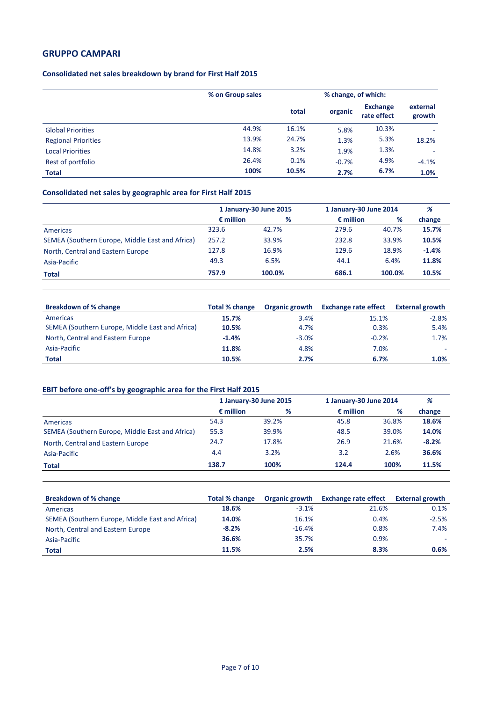#### **Consolidated net sales breakdown by brand for First Half 2015**

|                            | % on Group sales |       | % change, of which: |                                |                    |
|----------------------------|------------------|-------|---------------------|--------------------------------|--------------------|
|                            |                  | total | organic             | <b>Exchange</b><br>rate effect | external<br>growth |
| <b>Global Priorities</b>   | 44.9%            | 16.1% | 5.8%                | 10.3%                          | ۰                  |
| <b>Regional Priorities</b> | 13.9%            | 24.7% | 1.3%                | 5.3%                           | 18.2%              |
| <b>Local Priorities</b>    | 14.8%            | 3.2%  | 1.9%                | 1.3%                           | ٠                  |
| Rest of portfolio          | 26.4%            | 0.1%  | $-0.7%$             | 4.9%                           | $-4.1%$            |
| <b>Total</b>               | 100%             | 10.5% | 2.7%                | 6.7%                           | 1.0%               |

### **Consolidated net sales by geographic area for First Half 2015**

|                                                 | 1 January-30 June 2015 |        | 1 January-30 June 2014 |        | %       |  |
|-------------------------------------------------|------------------------|--------|------------------------|--------|---------|--|
|                                                 | $\epsilon$ million     | %      | $\epsilon$ million     | %      | change  |  |
| Americas                                        | 323.6                  | 42.7%  | 279.6                  | 40.7%  | 15.7%   |  |
| SEMEA (Southern Europe, Middle East and Africa) | 257.2                  | 33.9%  | 232.8                  | 33.9%  | 10.5%   |  |
| North, Central and Eastern Europe               | 127.8                  | 16.9%  | 129.6                  | 18.9%  | $-1.4%$ |  |
| Asia-Pacific                                    | 49.3                   | 6.5%   | 44.1                   | 6.4%   | 11.8%   |  |
| Total                                           | 757.9                  | 100.0% | 686.1                  | 100.0% | 10.5%   |  |

| <b>Breakdown of % change</b>                    | Total % change | Organic growth | <b>Exchange rate effect</b> | External growth |
|-------------------------------------------------|----------------|----------------|-----------------------------|-----------------|
| Americas                                        | 15.7%          | 3.4%           | 15.1%                       | $-2.8%$         |
| SEMEA (Southern Europe, Middle East and Africa) | 10.5%          | 4.7%           | 0.3%                        | 5.4%            |
| North, Central and Eastern Europe               | $-1.4%$        | $-3.0%$        | $-0.2%$                     | 1.7%            |
| Asia-Pacific                                    | 11.8%          | 4.8%           | 7.0%                        |                 |
| <b>Total</b>                                    | 10.5%          | 2.7%           | 6.7%                        | 1.0%            |

### **EBIT before one-off's by geographic area for the First Half 2015**

|                                                 | 1 January-30 June 2015 |       | 1 January-30 June 2014 |       | %       |
|-------------------------------------------------|------------------------|-------|------------------------|-------|---------|
|                                                 | $\epsilon$ million     | %     | $\epsilon$ million     | %     | change  |
| Americas                                        | 54.3                   | 39.2% | 45.8                   | 36.8% | 18.6%   |
| SEMEA (Southern Europe, Middle East and Africa) | 55.3                   | 39.9% | 48.5                   | 39.0% | 14.0%   |
| North, Central and Eastern Europe               | 24.7                   | 17.8% | 26.9                   | 21.6% | $-8.2%$ |
| Asia-Pacific                                    | 4.4                    | 3.2%  | 3.2                    | 2.6%  | 36.6%   |
| Total                                           | 138.7                  | 100%  | 124.4                  | 100%  | 11.5%   |

| <b>Breakdown of % change</b>                    | Total % change | Organic growth | <b>Exchange rate effect</b> | <b>External growth</b> |
|-------------------------------------------------|----------------|----------------|-----------------------------|------------------------|
| Americas                                        | 18.6%          | $-3.1%$        | 21.6%                       | 0.1%                   |
| SEMEA (Southern Europe, Middle East and Africa) | 14.0%          | 16.1%          | 0.4%                        | $-2.5%$                |
| North, Central and Eastern Europe               | $-8.2%$        | $-16.4%$       | 0.8%                        | 7.4%                   |
| Asia-Pacific                                    | 36.6%          | 35.7%          | 0.9%                        |                        |
| <b>Total</b>                                    | 11.5%          | 2.5%           | 8.3%                        | 0.6%                   |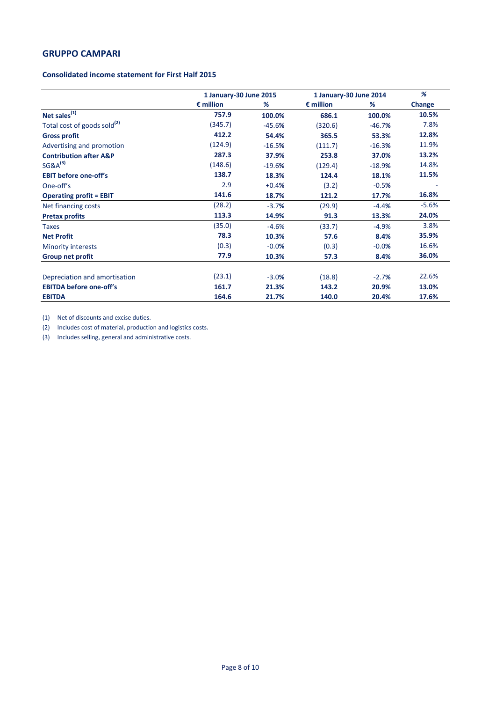#### **Consolidated income statement for First Half 2015**

|                                         |                    | 1 January-30 June 2015 |                    | 1 January-30 June 2014 |               |
|-----------------------------------------|--------------------|------------------------|--------------------|------------------------|---------------|
|                                         | $\epsilon$ million | %                      | $\epsilon$ million | %                      | <b>Change</b> |
| Net sales <sup>(1)</sup>                | 757.9              | 100.0%                 | 686.1              | 100.0%                 | 10.5%         |
| Total cost of goods sold <sup>(2)</sup> | (345.7)            | $-45.6%$               | (320.6)            | $-46.7%$               | 7.8%          |
| <b>Gross profit</b>                     | 412.2              | 54.4%                  | 365.5              | 53.3%                  | 12.8%         |
| Advertising and promotion               | (124.9)            | $-16.5%$               | (111.7)            | $-16.3%$               | 11.9%         |
| <b>Contribution after A&amp;P</b>       | 287.3              | 37.9%                  | 253.8              | 37.0%                  | 13.2%         |
| $SG&A^{(3)}$                            | (148.6)            | $-19.6%$               | (129.4)            | $-18.9%$               | 14.8%         |
| <b>EBIT before one-off's</b>            | 138.7              | 18.3%                  | 124.4              | 18.1%                  | 11.5%         |
| One-off's                               | 2.9                | $+0.4%$                | (3.2)              | $-0.5%$                |               |
| <b>Operating profit = EBIT</b>          | 141.6              | 18.7%                  | 121.2              | 17.7%                  | 16.8%         |
| Net financing costs                     | (28.2)             | $-3.7%$                | (29.9)             | $-4.4%$                | $-5.6%$       |
| <b>Pretax profits</b>                   | 113.3              | 14.9%                  | 91.3               | 13.3%                  | 24.0%         |
| <b>Taxes</b>                            | (35.0)             | $-4.6%$                | (33.7)             | $-4.9%$                | 3.8%          |
| <b>Net Profit</b>                       | 78.3               | 10.3%                  | 57.6               | 8.4%                   | 35.9%         |
| <b>Minority interests</b>               | (0.3)              | $-0.0%$                | (0.3)              | $-0.0%$                | 16.6%         |
| Group net profit                        | 77.9               | 10.3%                  | 57.3               | 8.4%                   | 36.0%         |
| Depreciation and amortisation           | (23.1)             | $-3.0%$                | (18.8)             | $-2.7%$                | 22.6%         |
| <b>EBITDA before one-off's</b>          | 161.7              | 21.3%                  | 143.2              | 20.9%                  | 13.0%         |
| <b>EBITDA</b>                           | 164.6              | 21.7%                  | 140.0              | 20.4%                  | 17.6%         |

(1) Net of discounts and excise duties.

(2) Includes cost of material, production and logistics costs.

(3) Includes selling, general and administrative costs.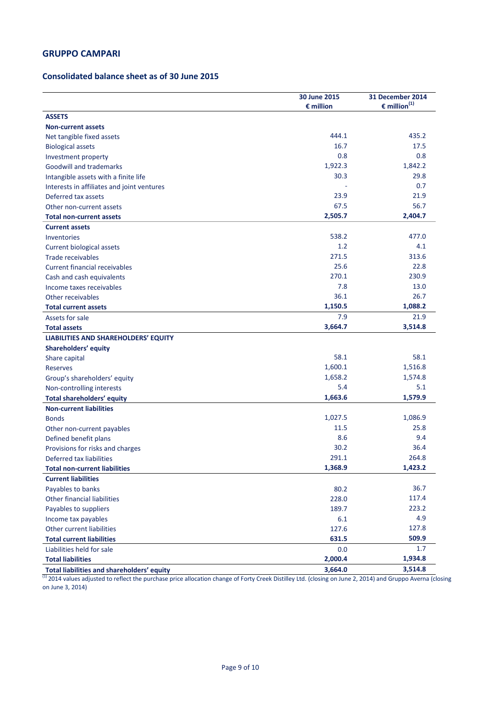### **Consolidated balance sheet as of 30 June 2015**

|                                             | 30 June 2015<br>$\epsilon$ million | 31 December 2014<br>$\epsilon$ million <sup>(1)</sup> |
|---------------------------------------------|------------------------------------|-------------------------------------------------------|
| <b>ASSETS</b>                               |                                    |                                                       |
| <b>Non-current assets</b>                   |                                    |                                                       |
| Net tangible fixed assets                   | 444.1                              | 435.2                                                 |
| <b>Biological assets</b>                    | 16.7                               | 17.5                                                  |
| Investment property                         | 0.8                                | 0.8                                                   |
| <b>Goodwill and trademarks</b>              | 1,922.3                            | 1,842.2                                               |
| Intangible assets with a finite life        | 30.3                               | 29.8                                                  |
| Interests in affiliates and joint ventures  |                                    | 0.7                                                   |
| Deferred tax assets                         | 23.9                               | 21.9                                                  |
| Other non-current assets                    | 67.5                               | 56.7                                                  |
| <b>Total non-current assets</b>             | 2,505.7                            | 2,404.7                                               |
| <b>Current assets</b>                       |                                    |                                                       |
| Inventories                                 | 538.2                              | 477.0                                                 |
| Current biological assets                   | 1.2                                | 4.1                                                   |
| Trade receivables                           | 271.5                              | 313.6                                                 |
| <b>Current financial receivables</b>        | 25.6                               | 22.8                                                  |
| Cash and cash equivalents                   | 270.1                              | 230.9                                                 |
| Income taxes receivables                    | 7.8                                | 13.0                                                  |
| Other receivables                           | 36.1                               | 26.7                                                  |
| <b>Total current assets</b>                 | 1,150.5                            | 1,088.2                                               |
| Assets for sale                             | 7.9                                | 21.9                                                  |
| <b>Total assets</b>                         | 3,664.7                            | 3,514.8                                               |
| <b>LIABILITIES AND SHAREHOLDERS' EQUITY</b> |                                    |                                                       |
| Shareholders' equity                        |                                    |                                                       |
| Share capital                               | 58.1                               | 58.1                                                  |
| Reserves                                    | 1,600.1                            | 1,516.8                                               |
| Group's shareholders' equity                | 1,658.2                            | 1,574.8                                               |
| Non-controlling interests                   | 5.4                                | 5.1                                                   |
| <b>Total shareholders' equity</b>           | 1,663.6                            | 1,579.9                                               |
| <b>Non-current liabilities</b>              |                                    |                                                       |
| <b>Bonds</b>                                | 1,027.5                            | 1,086.9                                               |
| Other non-current payables                  | 11.5                               | 25.8                                                  |
| Defined benefit plans                       | 8.6                                | 9.4                                                   |
| Provisions for risks and charges            | 30.2                               | 36.4                                                  |
| Deferred tax liabilities                    | 291.1                              | 264.8                                                 |
| <b>Total non-current liabilities</b>        | 1,368.9                            | 1,423.2                                               |
| <b>Current liabilities</b>                  |                                    |                                                       |
| Payables to banks                           | 80.2                               | 36.7                                                  |
| Other financial liabilities                 | 228.0                              | 117.4                                                 |
| Payables to suppliers                       | 189.7                              | 223.2                                                 |
| Income tax payables                         | 6.1                                | 4.9                                                   |
| Other current liabilities                   | 127.6                              | 127.8                                                 |
| <b>Total current liabilities</b>            | 631.5                              | 509.9                                                 |
| Liabilities held for sale                   | 0.0                                | 1.7                                                   |
| <b>Total liabilities</b>                    | 2,000.4                            | 1,934.8                                               |
| Total liabilities and shareholders' equity  | 3,664.0                            | 3,514.8                                               |

 $^{(1)}$  2014 values adjusted to reflect the purchase price allocation change of Forty Creek Distilley Ltd. (closing on June 2, 2014) and Gruppo Averna (closing on June 3, 2014)